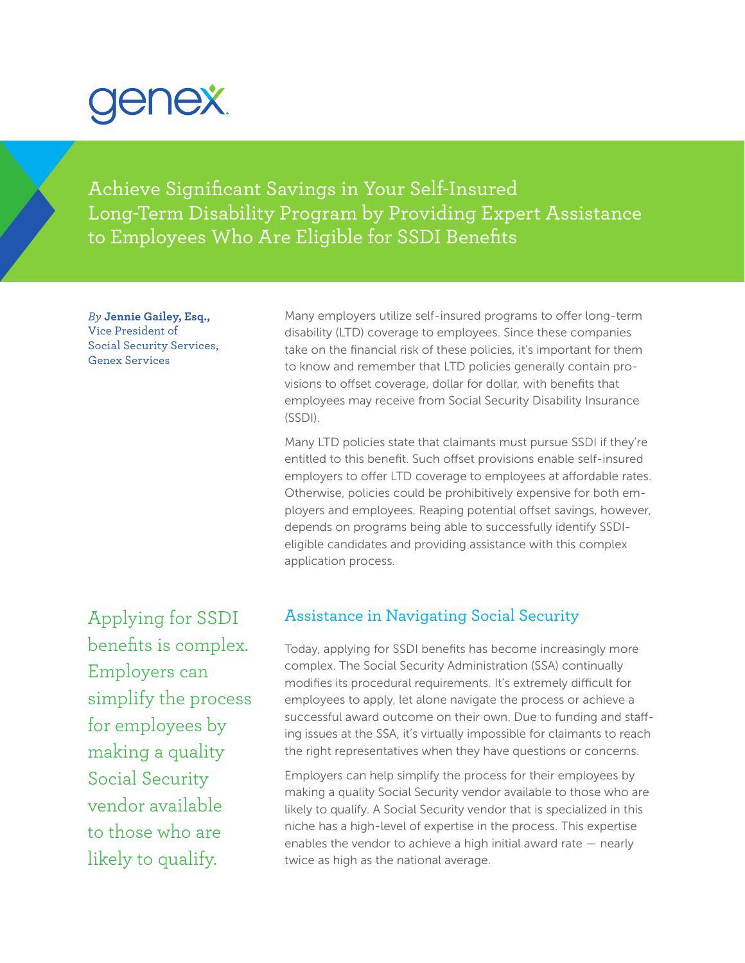# genex.

Achieve Significant Savings in Your Self-Insured Long-Term Disability Program by Providing Expert Assistance to Employees Who Are Eligible for SSDI Benefits

*By* **Jennie Gailey, Esq.,** Vice President of Social Security Services, Genex Services

Many employers utilize self-insured programs to offer long-term disability (LTD) coverage to employees. Since these companies take on the financial risk of these policies, it's important for them to know and remember that LTD policies generally contain provisions to offset coverage, dollar for dollar, with benefits that employees may receive from Social Security Disability Insurance (SSDI).

Many LTD policies state that claimants must pursue SSDI if they're entitled to this benefit. Such offset provisions enable self-insured employers to offer LTD coverage to employees at affordable rates. Otherwise, policies could be prohibitively expensive for both employers and employees. Reaping potential offset savings, however, depends on programs being able to successfully identify SSDIeligible candidates and providing assistance with this complex application process.

Applying for SSDI benefits is complex. Employers can simplify the process for employees by making a quality Social Security vendor available to those who are likely to qualify.

## Assistance in Navigating Social Security

Today, applying for SSDI benefits has become increasingly more complex. The Social Security Administration (SSA) continually modifies its procedural requirements. It's extremely difficult for employees to apply, let alone navigate the process or achieve a successful award outcome on their own. Due to funding and staffing issues at the SSA, it's virtually impossible for claimants to reach the right representatives when they have questions or concerns.

Employers can help simplify the process for their employees by making a quality Social Security vendor available to those who are likely to qualify. A Social Security vendor that is specialized in this niche has a high-level of expertise in the process. This expertise enables the vendor to achieve a high initial award rate — nearly twice as high as the national average.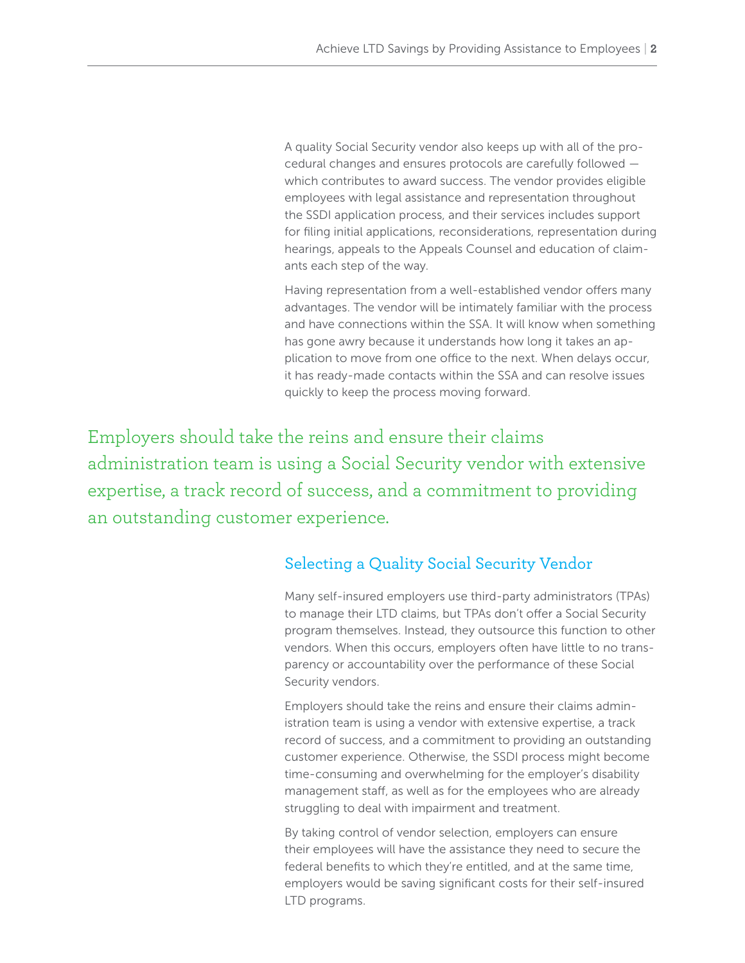A quality Social Security vendor also keeps up with all of the procedural changes and ensures protocols are carefully followed which contributes to award success. The vendor provides eligible employees with legal assistance and representation throughout the SSDI application process, and their services includes support for filing initial applications, reconsiderations, representation during hearings, appeals to the Appeals Counsel and education of claimants each step of the way.

Having representation from a well-established vendor offers many advantages. The vendor will be intimately familiar with the process and have connections within the SSA. It will know when something has gone awry because it understands how long it takes an application to move from one office to the next. When delays occur, it has ready-made contacts within the SSA and can resolve issues quickly to keep the process moving forward.

Employers should take the reins and ensure their claims administration team is using a Social Security vendor with extensive expertise, a track record of success, and a commitment to providing an outstanding customer experience.

# Selecting a Quality Social Security Vendor

Many self-insured employers use third-party administrators (TPAs) to manage their LTD claims, but TPAs don't offer a Social Security program themselves. Instead, they outsource this function to other vendors. When this occurs, employers often have little to no transparency or accountability over the performance of these Social Security vendors.

Employers should take the reins and ensure their claims administration team is using a vendor with extensive expertise, a track record of success, and a commitment to providing an outstanding customer experience. Otherwise, the SSDI process might become time-consuming and overwhelming for the employer's disability management staff, as well as for the employees who are already struggling to deal with impairment and treatment.

By taking control of vendor selection, employers can ensure their employees will have the assistance they need to secure the federal benefits to which they're entitled, and at the same time, employers would be saving significant costs for their self-insured LTD programs.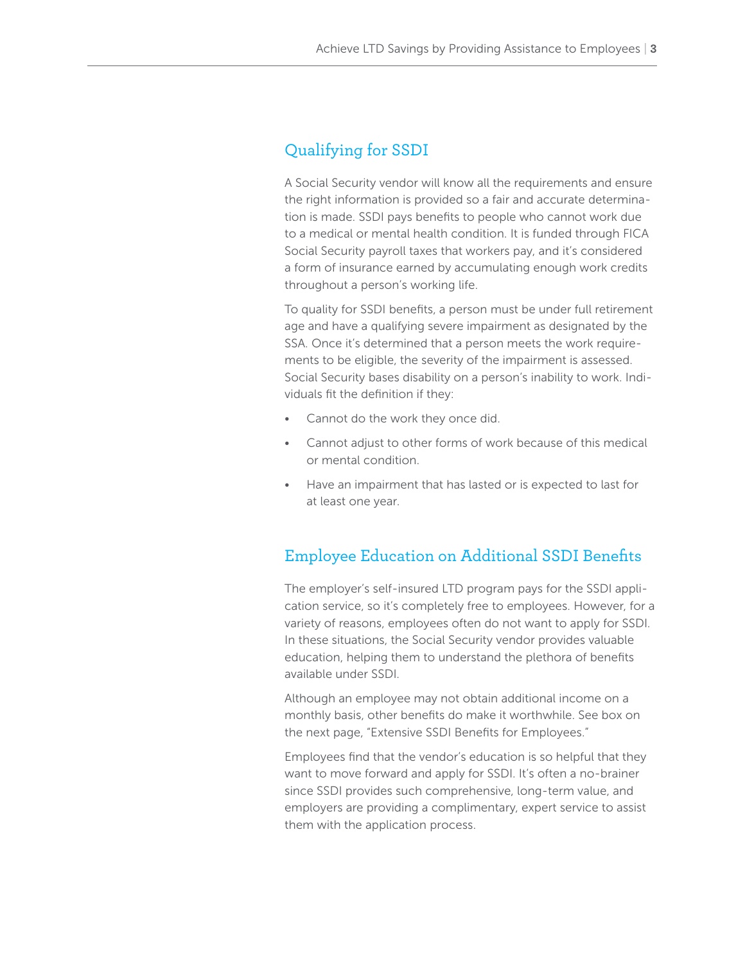# Qualifying for SSDI

A Social Security vendor will know all the requirements and ensure the right information is provided so a fair and accurate determination is made. SSDI pays benefits to people who cannot work due to a medical or mental health condition. It is funded through FICA Social Security payroll taxes that workers pay, and it's considered a form of insurance earned by accumulating enough work credits throughout a person's working life.

To quality for SSDI benefits, a person must be under full retirement age and have a qualifying severe impairment as designated by the SSA. Once it's determined that a person meets the work requirements to be eligible, the severity of the impairment is assessed. Social Security bases disability on a person's inability to work. Individuals fit the definition if they:

- Cannot do the work they once did.
- Cannot adjust to other forms of work because of this medical or mental condition.
- Have an impairment that has lasted or is expected to last for at least one year.

## Employee Education on Additional SSDI Benefits

The employer's self-insured LTD program pays for the SSDI application service, so it's completely free to employees. However, for a variety of reasons, employees often do not want to apply for SSDI. In these situations, the Social Security vendor provides valuable education, helping them to understand the plethora of benefits available under SSDI.

Although an employee may not obtain additional income on a monthly basis, other benefits do make it worthwhile. See box on the next page, "Extensive SSDI Benefits for Employees."

Employees find that the vendor's education is so helpful that they want to move forward and apply for SSDI. It's often a no-brainer since SSDI provides such comprehensive, long-term value, and employers are providing a complimentary, expert service to assist them with the application process.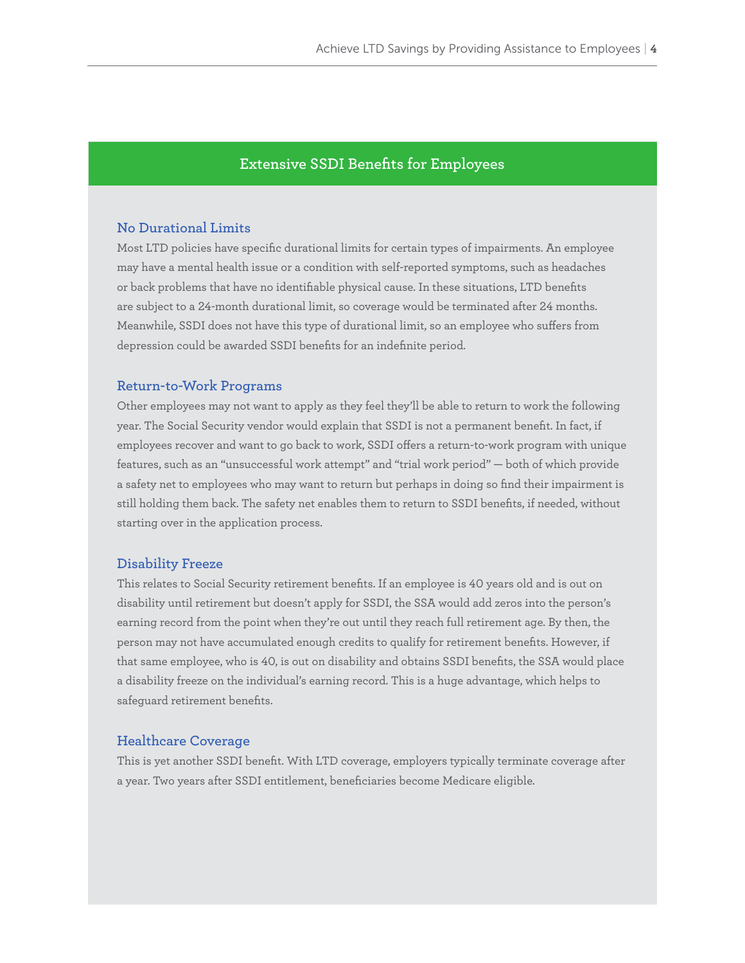## **Extensive SSDI Benefits for Employees**

## **No Durational Limits**

Most LTD policies have specific durational limits for certain types of impairments. An employee may have a mental health issue or a condition with self-reported symptoms, such as headaches or back problems that have no identifiable physical cause. In these situations, LTD benefits are subject to a 24-month durational limit, so coverage would be terminated after 24 months. Meanwhile, SSDI does not have this type of durational limit, so an employee who suffers from depression could be awarded SSDI benefits for an indefinite period.

### **Return-to-Work Programs**

Other employees may not want to apply as they feel they'll be able to return to work the following year. The Social Security vendor would explain that SSDI is not a permanent benefit. In fact, if employees recover and want to go back to work, SSDI offers a return-to-work program with unique features, such as an "unsuccessful work attempt" and "trial work period" — both of which provide a safety net to employees who may want to return but perhaps in doing so find their impairment is still holding them back. The safety net enables them to return to SSDI benefits, if needed, without starting over in the application process.

#### **Disability Freeze**

This relates to Social Security retirement benefits. If an employee is 40 years old and is out on disability until retirement but doesn't apply for SSDI, the SSA would add zeros into the person's earning record from the point when they're out until they reach full retirement age. By then, the person may not have accumulated enough credits to qualify for retirement benefits. However, if that same employee, who is 40, is out on disability and obtains SSDI benefits, the SSA would place a disability freeze on the individual's earning record. This is a huge advantage, which helps to safeguard retirement benefits.

## **Healthcare Coverage**

This is yet another SSDI benefit. With LTD coverage, employers typically terminate coverage after a year. Two years after SSDI entitlement, beneficiaries become Medicare eligible.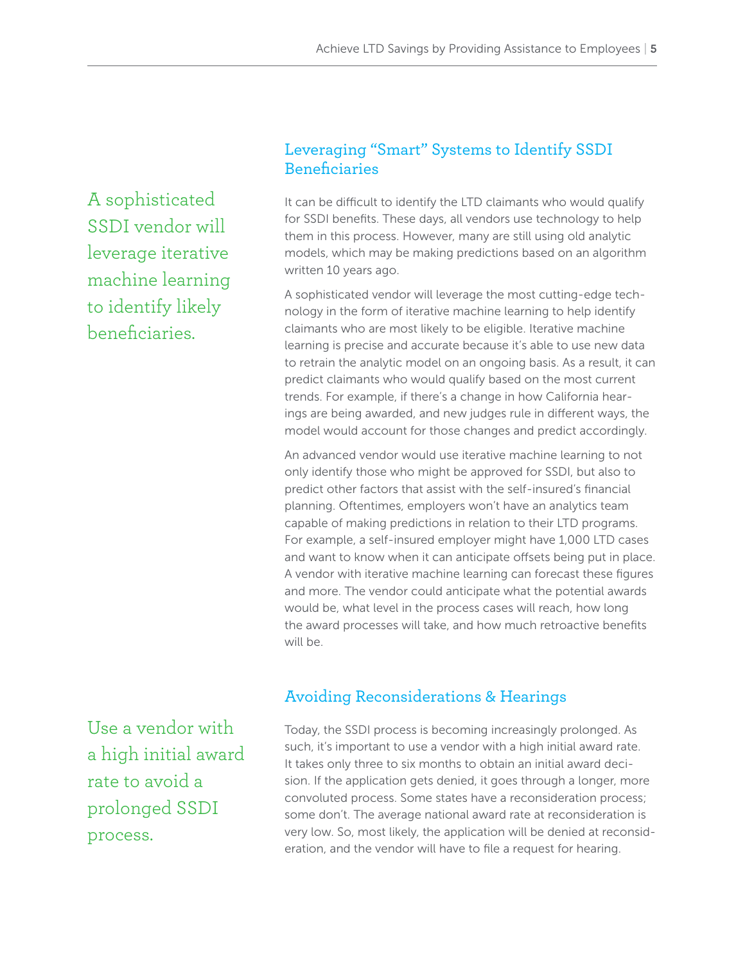A sophisticated SSDI vendor will leverage iterative machine learning to identify likely beneficiaries.

# Leveraging "Smart" Systems to Identify SSDI Beneficiaries

It can be difficult to identify the LTD claimants who would qualify for SSDI benefits. These days, all vendors use technology to help them in this process. However, many are still using old analytic models, which may be making predictions based on an algorithm written 10 years ago.

A sophisticated vendor will leverage the most cutting-edge technology in the form of iterative machine learning to help identify claimants who are most likely to be eligible. Iterative machine learning is precise and accurate because it's able to use new data to retrain the analytic model on an ongoing basis. As a result, it can predict claimants who would qualify based on the most current trends. For example, if there's a change in how California hearings are being awarded, and new judges rule in different ways, the model would account for those changes and predict accordingly.

An advanced vendor would use iterative machine learning to not only identify those who might be approved for SSDI, but also to predict other factors that assist with the self-insured's financial planning. Oftentimes, employers won't have an analytics team capable of making predictions in relation to their LTD programs. For example, a self-insured employer might have 1,000 LTD cases and want to know when it can anticipate offsets being put in place. A vendor with iterative machine learning can forecast these figures and more. The vendor could anticipate what the potential awards would be, what level in the process cases will reach, how long the award processes will take, and how much retroactive benefits will be.

## Avoiding Reconsiderations & Hearings

Use a vendor with a high initial award rate to avoid a prolonged SSDI process.

Today, the SSDI process is becoming increasingly prolonged. As such, it's important to use a vendor with a high initial award rate. It takes only three to six months to obtain an initial award decision. If the application gets denied, it goes through a longer, more convoluted process. Some states have a reconsideration process; some don't. The average national award rate at reconsideration is very low. So, most likely, the application will be denied at reconsideration, and the vendor will have to file a request for hearing.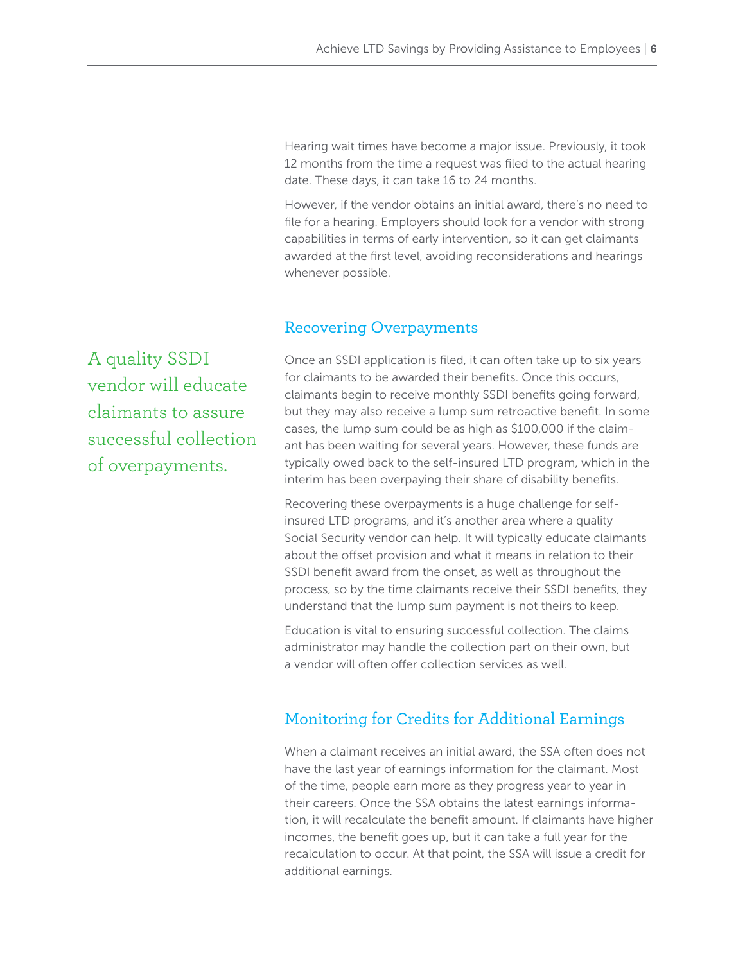Hearing wait times have become a major issue. Previously, it took 12 months from the time a request was filed to the actual hearing date. These days, it can take 16 to 24 months.

However, if the vendor obtains an initial award, there's no need to file for a hearing. Employers should look for a vendor with strong capabilities in terms of early intervention, so it can get claimants awarded at the first level, avoiding reconsiderations and hearings whenever possible.

## Recovering Overpayments

A quality SSDI vendor will educate claimants to assure successful collection of overpayments.

Once an SSDI application is filed, it can often take up to six years for claimants to be awarded their benefits. Once this occurs, claimants begin to receive monthly SSDI benefits going forward, but they may also receive a lump sum retroactive benefit. In some cases, the lump sum could be as high as \$100,000 if the claimant has been waiting for several years. However, these funds are typically owed back to the self-insured LTD program, which in the interim has been overpaying their share of disability benefits.

Recovering these overpayments is a huge challenge for selfinsured LTD programs, and it's another area where a quality Social Security vendor can help. It will typically educate claimants about the offset provision and what it means in relation to their SSDI benefit award from the onset, as well as throughout the process, so by the time claimants receive their SSDI benefits, they understand that the lump sum payment is not theirs to keep.

Education is vital to ensuring successful collection. The claims administrator may handle the collection part on their own, but a vendor will often offer collection services as well.

## Monitoring for Credits for Additional Earnings

When a claimant receives an initial award, the SSA often does not have the last year of earnings information for the claimant. Most of the time, people earn more as they progress year to year in their careers. Once the SSA obtains the latest earnings information, it will recalculate the benefit amount. If claimants have higher incomes, the benefit goes up, but it can take a full year for the recalculation to occur. At that point, the SSA will issue a credit for additional earnings.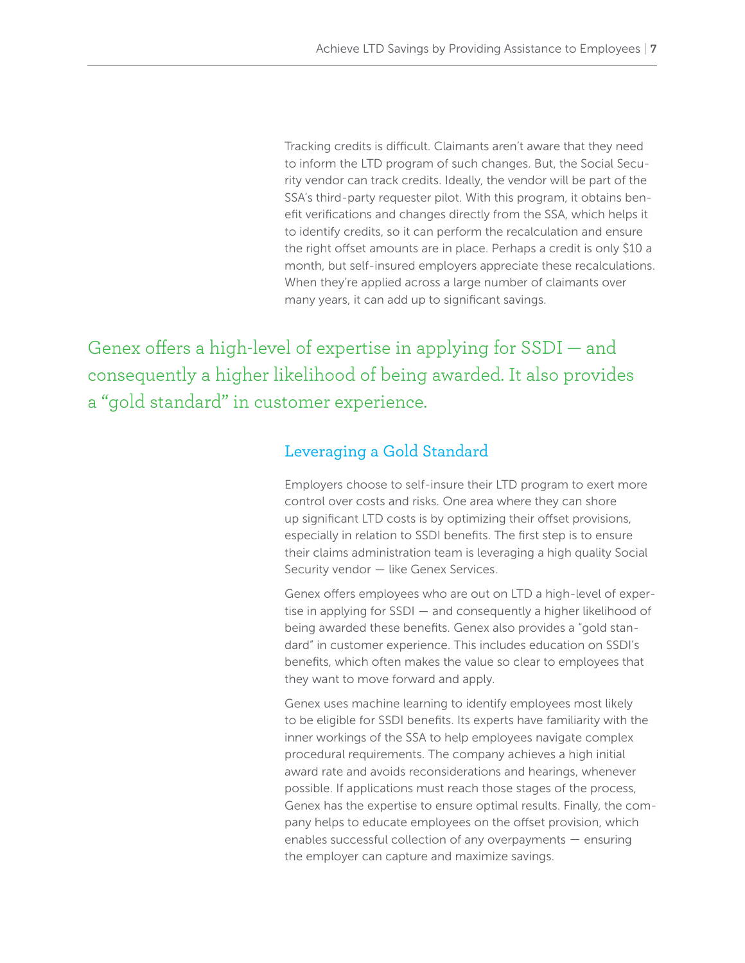Tracking credits is difficult. Claimants aren't aware that they need to inform the LTD program of such changes. But, the Social Security vendor can track credits. Ideally, the vendor will be part of the SSA's third-party requester pilot. With this program, it obtains benefit verifications and changes directly from the SSA, which helps it to identify credits, so it can perform the recalculation and ensure the right offset amounts are in place. Perhaps a credit is only \$10 a month, but self-insured employers appreciate these recalculations. When they're applied across a large number of claimants over many years, it can add up to significant savings.

Genex offers a high-level of expertise in applying for SSDI — and consequently a higher likelihood of being awarded. It also provides a "gold standard" in customer experience.

## Leveraging a Gold Standard

Employers choose to self-insure their LTD program to exert more control over costs and risks. One area where they can shore up significant LTD costs is by optimizing their offset provisions, especially in relation to SSDI benefits. The first step is to ensure their claims administration team is leveraging a high quality Social Security vendor - like Genex Services.

Genex offers employees who are out on LTD a high-level of expertise in applying for SSDI — and consequently a higher likelihood of being awarded these benefits. Genex also provides a "gold standard" in customer experience. This includes education on SSDI's benefits, which often makes the value so clear to employees that they want to move forward and apply.

Genex uses machine learning to identify employees most likely to be eligible for SSDI benefits. Its experts have familiarity with the inner workings of the SSA to help employees navigate complex procedural requirements. The company achieves a high initial award rate and avoids reconsiderations and hearings, whenever possible. If applications must reach those stages of the process, Genex has the expertise to ensure optimal results. Finally, the company helps to educate employees on the offset provision, which enables successful collection of any overpayments — ensuring the employer can capture and maximize savings.